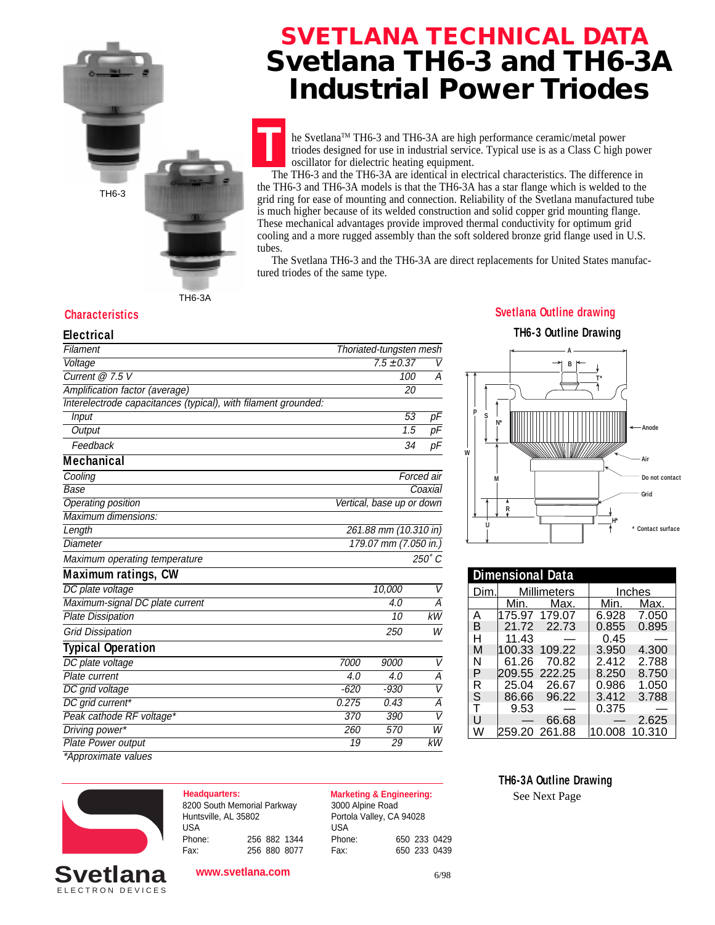

## **SVETLANA TECHNICAL DATA Svetlana TH6-3 and TH6-3A Industrial Power Triodes**

**T** he Svetlana<sup>™</sup> TH6-3 and TH6-3A are high performance ceramic/metal power triodes designed for use in industrial service. Typical use is as a Class C high power oscillator for dielectric heating equipment.

 The TH6-3 and the TH6-3A are identical in electrical characteristics. The difference in the TH6-3 and TH6-3A models is that the TH6-3A has a star flange which is welded to the grid ring for ease of mounting and connection. Reliability of the Svetlana manufactured tube is much higher because of its welded construction and solid copper grid mounting flange. These mechanical advantages provide improved thermal conductivity for optimum grid cooling and a more rugged assembly than the soft soldered bronze grid flange used in U.S. tubes.

 The Svetlana TH6-3 and the TH6-3A are direct replacements for United States manufactured triodes of the same type.

TH6-3A

**Electrical**

| <b>Electrical</b>                                              |                           |                         |                 |
|----------------------------------------------------------------|---------------------------|-------------------------|-----------------|
| Filament                                                       |                           | Thoriated-tungsten mesh |                 |
| Voltage                                                        |                           | $7.5 \pm 0.37$          | $\vee$          |
| Current @ 7.5 V                                                |                           | 100                     | А               |
| Amplification factor (average)                                 |                           | 20                      |                 |
| Interelectrode capacitances (typical), with filament grounded: |                           |                         |                 |
| <b>Input</b>                                                   |                           | 53                      | pF              |
| Output                                                         |                           | $\overline{1.5}$        | $\overline{pF}$ |
| Feedback                                                       |                           | 34                      | рF              |
| <b>Mechanical</b>                                              |                           |                         |                 |
| Cooling                                                        |                           |                         | Forced air      |
| Base                                                           | Coaxial                   |                         |                 |
| <b>Operating position</b>                                      | Vertical, base up or down |                         |                 |
| Maximum dimensions:                                            |                           |                         |                 |
| Length                                                         | 261.88 mm (10.310 in)     |                         |                 |
| <b>Diameter</b>                                                | 179.07 mm (7.050 in.)     |                         |                 |
| Maximum operating temperature                                  |                           |                         | 250°C           |
| <b>Maximum ratings, CW</b>                                     |                           |                         |                 |
| DC plate voltage                                               |                           | 10,000                  | V               |
| Maximum-signal DC plate current                                |                           | 4.0                     | A               |
| <b>Plate Dissipation</b>                                       |                           | 10                      | kW              |
| <b>Grid Dissipation</b>                                        |                           | 250                     | W               |
| <b>Typical Operation</b>                                       |                           |                         |                 |
| DC plate voltage                                               | 7000                      | 9000                    | V               |
| Plate current                                                  | 4.0                       | 4.0                     | Α               |
| DC grid voltage                                                | $-620$                    | $-930$                  | $\overline{V}$  |
| DC grid current*                                               | 0.275                     | 0.43                    | Α               |
| Peak cathode RF voltage*                                       | 370                       | 390                     | $\overline{V}$  |
| Driving power*                                                 | 260                       | 570                     | $\overline{W}$  |
| <b>Plate Power output</b>                                      | 19                        | 29                      | kW              |
| *Approximate values                                            |                           |                         |                 |

## **Characteristics Svetlana Outline drawing**

## **TH6-3 Outline Drawing**



| <b>Dimensional Data</b> |             |               |               |        |
|-------------------------|-------------|---------------|---------------|--------|
| Dim.                    | Millimeters |               | <b>Inches</b> |        |
|                         | Min.        | Max.          | Min.          | Max.   |
| Α                       |             | 175.97 179.07 | 6.928         | 7.050  |
| B                       |             | 21.72 22.73   | 0.855         | 0.895  |
| н                       | 11.43       |               | 0.45          |        |
| М                       | 100.33      | 109.22        | 3.950         | 4.300  |
| Ν                       | 61.26       | 70.82         | 2.412         | 2.788  |
| P                       |             | 209.55 222.25 | 8.250         | 8.750  |
| R                       |             | 25.04 26.67   | 0.986         | 1.050  |
| S                       | 86.66       | 96.22         | 3.412         | 3.788  |
| т                       | 9.53        |               | 0.375         |        |
| U                       |             | 66.68         |               | 2.625  |
| W                       |             | 259.20 261.88 | 10.008        | 10.310 |

ELECTRON DEVICES **Svetlana**

8200 South Memorial Parkway Huntsville, AL 35802 USA Phone: 256 882 1344 Fax: 256 880 8077

**Headquarters: Marketing & Engineering:** 3000 Alpine Road Portola Valley, CA 94028 USA Phone: 650 233 0429 Fax: 650 233 0439 **TH6-3A Outline Drawing**

See Next Page

**www.svetlana.com**

6/98